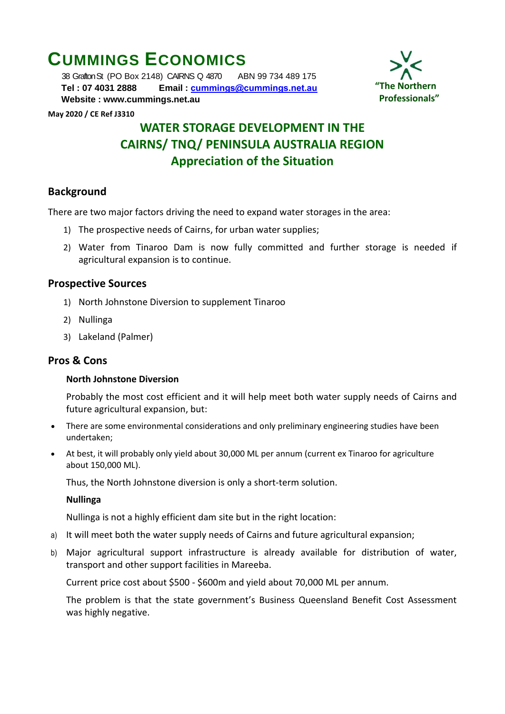# **CUMMINGS ECONOMICS**

 38 Grafton St (PO Box 2148) CAIRNS Q 4870 ABN 99 734 489 175  **Tel : 07 4031 2888 Email : [cummings@cummings.net.au](mailto:cummings@cummings.net.au) Website : www.cummings.net.au**



#### **May 2020 / CE Ref J3310**

# **WATER STORAGE DEVELOPMENT IN THE CAIRNS/ TNQ/ PENINSULA AUSTRALIA REGION Appreciation of the Situation**

## **Background**

There are two major factors driving the need to expand water storages in the area:

- 1) The prospective needs of Cairns, for urban water supplies;
- 2) Water from Tinaroo Dam is now fully committed and further storage is needed if agricultural expansion is to continue.

#### **Prospective Sources**

- 1) North Johnstone Diversion to supplement Tinaroo
- 2) Nullinga
- 3) Lakeland (Palmer)

#### **Pros & Cons**

#### **North Johnstone Diversion**

Probably the most cost efficient and it will help meet both water supply needs of Cairns and future agricultural expansion, but:

- There are some environmental considerations and only preliminary engineering studies have been undertaken;
- At best, it will probably only yield about 30,000 ML per annum (current ex Tinaroo for agriculture about 150,000 ML).

Thus, the North Johnstone diversion is only a short-term solution.

#### **Nullinga**

Nullinga is not a highly efficient dam site but in the right location:

- a) It will meet both the water supply needs of Cairns and future agricultural expansion;
- b) Major agricultural support infrastructure is already available for distribution of water, transport and other support facilities in Mareeba.

Current price cost about \$500 - \$600m and yield about 70,000 ML per annum.

The problem is that the state government's Business Queensland Benefit Cost Assessment was highly negative.